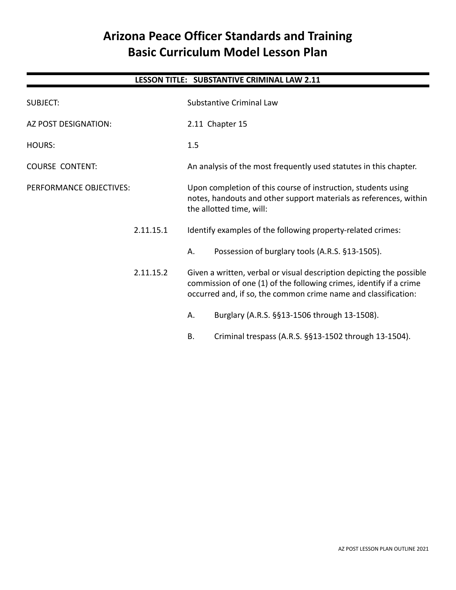# **Arizona Peace Officer Standards and Training Basic Curriculum Model Lesson Plan**

# **LESSON TITLE: SUBSTANTIVE CRIMINAL LAW 2.11**

| <b>SUBJECT:</b>         | <b>Substantive Criminal Law</b>                                                                                                                                                                              |  |
|-------------------------|--------------------------------------------------------------------------------------------------------------------------------------------------------------------------------------------------------------|--|
| AZ POST DESIGNATION:    | 2.11 Chapter 15                                                                                                                                                                                              |  |
| <b>HOURS:</b>           | 1.5                                                                                                                                                                                                          |  |
| <b>COURSE CONTENT:</b>  | An analysis of the most frequently used statutes in this chapter.                                                                                                                                            |  |
| PERFORMANCE OBJECTIVES: | Upon completion of this course of instruction, students using<br>notes, handouts and other support materials as references, within<br>the allotted time, will:                                               |  |
| 2.11.15.1               | Identify examples of the following property-related crimes:                                                                                                                                                  |  |
|                         | Possession of burglary tools (A.R.S. §13-1505).<br>Α.                                                                                                                                                        |  |
| 2.11.15.2               | Given a written, verbal or visual description depicting the possible<br>commission of one (1) of the following crimes, identify if a crime<br>occurred and, if so, the common crime name and classification: |  |
|                         | Burglary (A.R.S. §§13-1506 through 13-1508).<br>А.                                                                                                                                                           |  |
|                         | Criminal trespass (A.R.S. §§13-1502 through 13-1504).<br>Β.                                                                                                                                                  |  |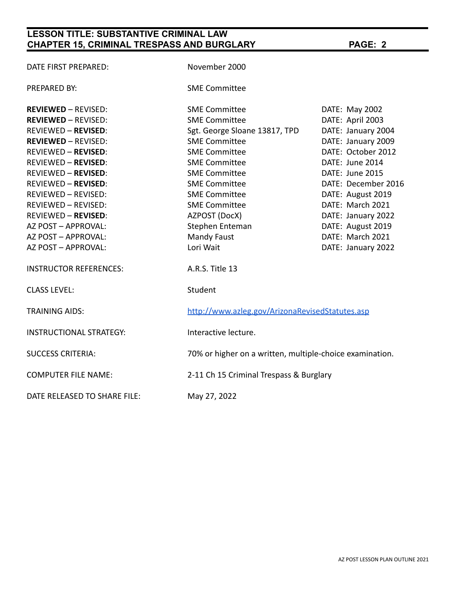| DATE FIRST PREPARED:           | November 2000                                            |                     |  |
|--------------------------------|----------------------------------------------------------|---------------------|--|
| <b>PREPARED BY:</b>            | <b>SME Committee</b>                                     |                     |  |
| <b>REVIEWED - REVISED:</b>     | <b>SME Committee</b>                                     | DATE: May 2002      |  |
| <b>REVIEWED - REVISED:</b>     | <b>SME Committee</b>                                     | DATE: April 2003    |  |
| <b>REVIEWED - REVISED:</b>     | Sgt. George Sloane 13817, TPD                            | DATE: January 2004  |  |
| <b>REVIEWED - REVISED:</b>     | <b>SME Committee</b>                                     | DATE: January 2009  |  |
| <b>REVIEWED - REVISED:</b>     | <b>SME Committee</b>                                     | DATE: October 2012  |  |
| <b>REVIEWED - REVISED:</b>     | <b>SME Committee</b>                                     | DATE: June 2014     |  |
| <b>REVIEWED - REVISED:</b>     | <b>SME Committee</b>                                     | DATE: June 2015     |  |
| <b>REVIEWED - REVISED:</b>     | <b>SME Committee</b>                                     | DATE: December 2016 |  |
| <b>REVIEWED - REVISED:</b>     | <b>SME Committee</b>                                     | DATE: August 2019   |  |
| REVIEWED - REVISED:            | <b>SME Committee</b>                                     | DATE: March 2021    |  |
| <b>REVIEWED - REVISED:</b>     | AZPOST (DocX)                                            | DATE: January 2022  |  |
| AZ POST - APPROVAL:            | Stephen Enteman                                          | DATE: August 2019   |  |
| AZ POST - APPROVAL:            | <b>Mandy Faust</b>                                       | DATE: March 2021    |  |
| AZ POST - APPROVAL:            | Lori Wait                                                | DATE: January 2022  |  |
| <b>INSTRUCTOR REFERENCES:</b>  | A.R.S. Title 13                                          |                     |  |
| <b>CLASS LEVEL:</b>            | Student                                                  |                     |  |
| <b>TRAINING AIDS:</b>          | http://www.azleg.gov/ArizonaRevisedStatutes.asp          |                     |  |
| <b>INSTRUCTIONAL STRATEGY:</b> | Interactive lecture.                                     |                     |  |
| <b>SUCCESS CRITERIA:</b>       | 70% or higher on a written, multiple-choice examination. |                     |  |
| <b>COMPUTER FILE NAME:</b>     | 2-11 Ch 15 Criminal Trespass & Burglary                  |                     |  |
| DATE RELEASED TO SHARE FILE:   | May 27, 2022                                             |                     |  |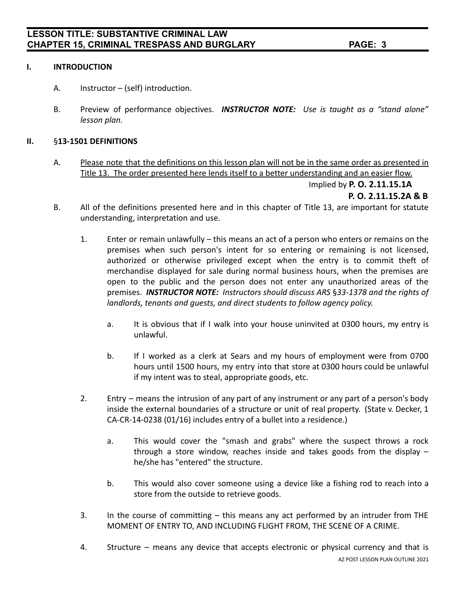### **I. INTRODUCTION**

- A. Instructor (self) introduction.
- B. Preview of performance objectives. *INSTRUCTOR NOTE: Use is taught as a "stand alone" lesson plan.*

#### **II.** §**13-1501 DEFINITIONS**

A. Please note that the definitions on this lesson plan will not be in the same order as presented in Title 13. The order presented here lends itself to a better understanding and an easier flow.

Implied by **P. O. 2.11.15.1A**

**P. O. 2.11.15.2A & B**

- B. All of the definitions presented here and in this chapter of Title 13, are important for statute understanding, interpretation and use.
	- 1. Enter or remain unlawfully this means an act of a person who enters or remains on the premises when such person's intent for so entering or remaining is not licensed, authorized or otherwise privileged except when the entry is to commit theft of merchandise displayed for sale during normal business hours, when the premises are open to the public and the person does not enter any unauthorized areas of the premises. *INSTRUCTOR NOTE: Instructors should discuss ARS* §*33-1378 and the rights of landlords, tenants and guests, and direct students to follow agency policy.*
		- a. It is obvious that if I walk into your house uninvited at 0300 hours, my entry is unlawful.
		- b. If I worked as a clerk at Sears and my hours of employment were from 0700 hours until 1500 hours, my entry into that store at 0300 hours could be unlawful if my intent was to steal, appropriate goods, etc.
	- 2. Entry means the intrusion of any part of any instrument or any part of a person's body inside the external boundaries of a structure or unit of real property. (State v. Decker, 1 CA-CR-14-0238 (01/16) includes entry of a bullet into a residence.)
		- a. This would cover the "smash and grabs" where the suspect throws a rock through a store window, reaches inside and takes goods from the display  $$ he/she has "entered" the structure.
		- b. This would also cover someone using a device like a fishing rod to reach into a store from the outside to retrieve goods.
	- 3. In the course of committing this means any act performed by an intruder from THE MOMENT OF ENTRY TO, AND INCLUDING FLIGHT FROM, THE SCENE OF A CRIME.
	- 4. Structure means any device that accepts electronic or physical currency and that is AZ POST LESSON PLAN OUTLINE 2021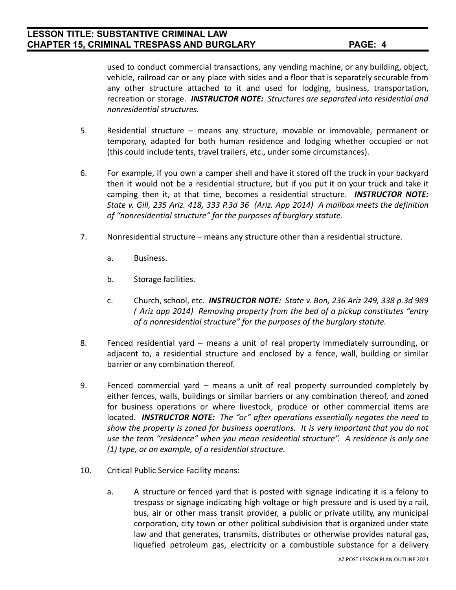used to conduct commercial transactions, any vending machine, or any building, object, vehicle, railroad car or any place with sides and a floor that is separately securable from any other structure attached to it and used for lodging, business, transportation, recreation or storage. *INSTRUCTOR NOTE: Structures are separated into residential and nonresidential structures.*

- 5. Residential structure means any structure, movable or immovable, permanent or temporary, adapted for both human residence and lodging whether occupied or not (this could include tents, travel trailers, etc., under some circumstances).
- 6. For example, if you own a camper shell and have it stored off the truck in your backyard then it would not be a residential structure, but if you put it on your truck and take it camping then it, at that time, becomes a residential structure. *INSTRUCTOR NOTE: State v. Gill, 235 Ariz. 418, 333 P.3d 36 (Ariz. App 2014) A mailbox meets the definition of "nonresidential structure" for the purposes of burglary statute.*
- 7. Nonresidential structure means any structure other than a residential structure.
	- a. Business.
	- b. Storage facilities.
	- c. Church, school, etc. *INSTRUCTOR NOTE: State v. Bon, 236 Ariz 249, 338 p.3d 989 ( Ariz app 2014) Removing property from the bed of a pickup constitutes "entry of a nonresidential structure" for the purposes of the burglary statute.*
- 8. Fenced residential yard means a unit of real property immediately surrounding, or adjacent to, a residential structure and enclosed by a fence, wall, building or similar barrier or any combination thereof.
- 9. Fenced commercial yard means a unit of real property surrounded completely by either fences, walls, buildings or similar barriers or any combination thereof, and zoned for business operations or where livestock, produce or other commercial items are located. *INSTRUCTOR NOTE: The "or" after operations essentially negates the need to show the property is zoned for business operations. It is very important that you do not use the term "residence" when you mean residential structure". A residence is only one (1) type, or an example, of a residential structure.*
- 10. Critical Public Service Facility means:
	- a. A structure or fenced yard that is posted with signage indicating it is a felony to trespass or signage indicating high voltage or high pressure and is used by a rail, bus, air or other mass transit provider, a public or private utility, any municipal corporation, city town or other political subdivision that is organized under state law and that generates, transmits, distributes or otherwise provides natural gas, liquefied petroleum gas, electricity or a combustible substance for a delivery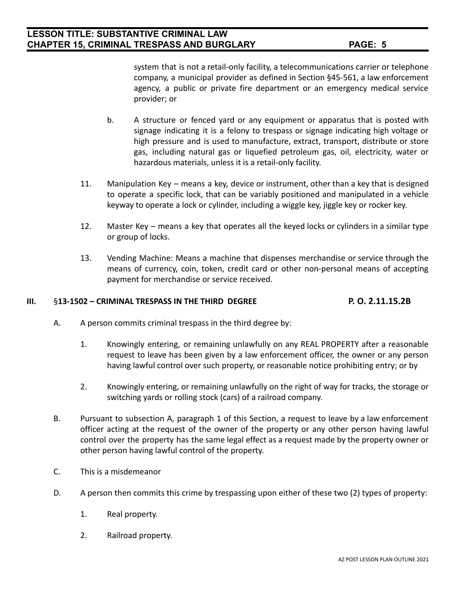system that is not a retail-only facility, a telecommunications carrier or telephone company, a municipal provider as defined in Section §45-561, a law enforcement agency, a public or private fire department or an emergency medical service provider; or

- b. A structure or fenced yard or any equipment or apparatus that is posted with signage indicating it is a felony to trespass or signage indicating high voltage or high pressure and is used to manufacture, extract, transport, distribute or store gas, including natural gas or liquefied petroleum gas, oil, electricity, water or hazardous materials, unless it is a retail-only facility.
- 11. Manipulation Key means a key, device or instrument, other than a key that is designed to operate a specific lock, that can be variably positioned and manipulated in a vehicle keyway to operate a lock or cylinder, including a wiggle key, jiggle key or rocker key.
- 12. Master Key means a key that operates all the keyed locks or cylinders in a similar type or group of locks.
- 13. Vending Machine: Means a machine that dispenses merchandise or service through the means of currency, coin, token, credit card or other non-personal means of accepting payment for merchandise or service received.

## **III.** §**13-1502 – CRIMINAL TRESPASS IN THE THIRD DEGREE P. O. 2.11.15.2B**

- A. A person commits criminal trespass in the third degree by:
	- 1. Knowingly entering, or remaining unlawfully on any REAL PROPERTY after a reasonable request to leave has been given by a law enforcement officer, the owner or any person having lawful control over such property, or reasonable notice prohibiting entry; or by
	- 2. Knowingly entering, or remaining unlawfully on the right of way for tracks, the storage or switching yards or rolling stock (cars) of a railroad company.
- B. Pursuant to subsection A, paragraph 1 of this Section, a request to leave by a law enforcement officer acting at the request of the owner of the property or any other person having lawful control over the property has the same legal effect as a request made by the property owner or other person having lawful control of the property.
- C. This is a misdemeanor
- D. A person then commits this crime by trespassing upon either of these two (2) types of property:
	- 1. Real property.
	- 2. Railroad property.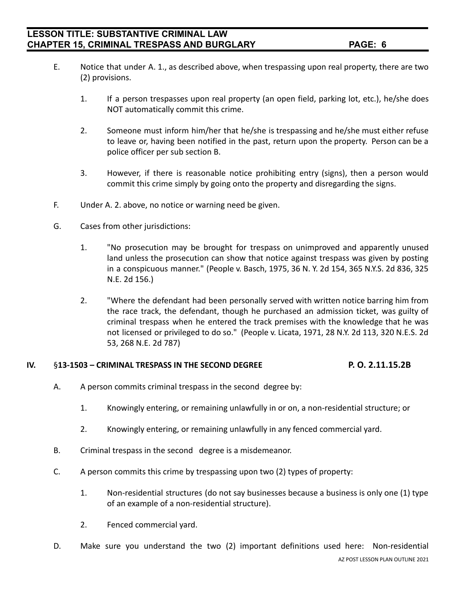- E. Notice that under A. 1., as described above, when trespassing upon real property, there are two (2) provisions.
	- 1. If a person trespasses upon real property (an open field, parking lot, etc.), he/she does NOT automatically commit this crime.
	- 2. Someone must inform him/her that he/she is trespassing and he/she must either refuse to leave or, having been notified in the past, return upon the property. Person can be a police officer per sub section B.
	- 3. However, if there is reasonable notice prohibiting entry (signs), then a person would commit this crime simply by going onto the property and disregarding the signs.
- F. Under A. 2. above, no notice or warning need be given.
- G. Cases from other jurisdictions:
	- 1. "No prosecution may be brought for trespass on unimproved and apparently unused land unless the prosecution can show that notice against trespass was given by posting in a conspicuous manner." (People v. Basch, 1975, 36 N. Y. 2d 154, 365 N.Y.S. 2d 836, 325 N.E. 2d 156.)
	- 2. "Where the defendant had been personally served with written notice barring him from the race track, the defendant, though he purchased an admission ticket, was guilty of criminal trespass when he entered the track premises with the knowledge that he was not licensed or privileged to do so." (People v. Licata, 1971, 28 N.Y. 2d 113, 320 N.E.S. 2d 53, 268 N.E. 2d 787)

### **IV.** §**13-1503 – CRIMINAL TRESPASS IN THE SECOND DEGREE P. O. 2.11.15.2B**

- A. A person commits criminal trespass in the second degree by:
	- 1. Knowingly entering, or remaining unlawfully in or on, a non-residential structure; or
	- 2. Knowingly entering, or remaining unlawfully in any fenced commercial yard.
- B. Criminal trespass in the second degree is a misdemeanor.
- C. A person commits this crime by trespassing upon two (2) types of property:
	- 1. Non-residential structures (do not say businesses because a business is only one (1) type of an example of a non-residential structure).
	- 2. Fenced commercial yard.
- D. Make sure you understand the two (2) important definitions used here: Non-residential AZ POST LESSON PLAN OUTLINE 2021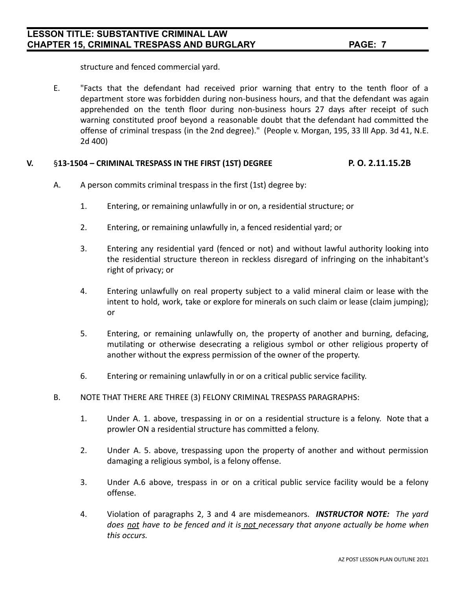structure and fenced commercial yard.

E. "Facts that the defendant had received prior warning that entry to the tenth floor of a department store was forbidden during non-business hours, and that the defendant was again apprehended on the tenth floor during non-business hours 27 days after receipt of such warning constituted proof beyond a reasonable doubt that the defendant had committed the offense of criminal trespass (in the 2nd degree)." (People v. Morgan, 195, 33 lll App. 3d 41, N.E. 2d 400)

### **V.** §**13-1504 – CRIMINAL TRESPASS IN THE FIRST (1ST) DEGREE P. O. 2.11.15.2B**

- A. A person commits criminal trespass in the first (1st) degree by:
	- 1. Entering, or remaining unlawfully in or on, a residential structure; or
	- 2. Entering, or remaining unlawfully in, a fenced residential yard; or
	- 3. Entering any residential yard (fenced or not) and without lawful authority looking into the residential structure thereon in reckless disregard of infringing on the inhabitant's right of privacy; or
	- 4. Entering unlawfully on real property subject to a valid mineral claim or lease with the intent to hold, work, take or explore for minerals on such claim or lease (claim jumping); or
	- 5. Entering, or remaining unlawfully on, the property of another and burning, defacing, mutilating or otherwise desecrating a religious symbol or other religious property of another without the express permission of the owner of the property.
	- 6. Entering or remaining unlawfully in or on a critical public service facility.
- B. NOTE THAT THERE ARE THREE (3) FELONY CRIMINAL TRESPASS PARAGRAPHS:
	- 1. Under A. 1. above, trespassing in or on a residential structure is a felony. Note that a prowler ON a residential structure has committed a felony.
	- 2. Under A. 5. above, trespassing upon the property of another and without permission damaging a religious symbol, is a felony offense.
	- 3. Under A.6 above, trespass in or on a critical public service facility would be a felony offense.
	- 4. Violation of paragraphs 2, 3 and 4 are misdemeanors. *INSTRUCTOR NOTE: The yard does not have to be fenced and it is not necessary that anyone actually be home when this occurs.*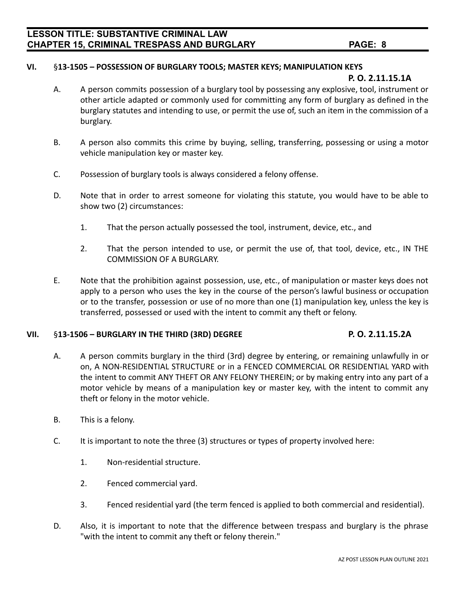#### **VI.** §**13-1505 – POSSESSION OF BURGLARY TOOLS; MASTER KEYS; MANIPULATION KEYS**

#### **P. O. 2.11.15.1A**

- A. A person commits possession of a burglary tool by possessing any explosive, tool, instrument or other article adapted or commonly used for committing any form of burglary as defined in the burglary statutes and intending to use, or permit the use of, such an item in the commission of a burglary.
- B. A person also commits this crime by buying, selling, transferring, possessing or using a motor vehicle manipulation key or master key.
- C. Possession of burglary tools is always considered a felony offense.
- D. Note that in order to arrest someone for violating this statute, you would have to be able to show two (2) circumstances:
	- 1. That the person actually possessed the tool, instrument, device, etc., and
	- 2. That the person intended to use, or permit the use of, that tool, device, etc., IN THE COMMISSION OF A BURGLARY.
- E. Note that the prohibition against possession, use, etc., of manipulation or master keys does not apply to a person who uses the key in the course of the person's lawful business or occupation or to the transfer, possession or use of no more than one (1) manipulation key, unless the key is transferred, possessed or used with the intent to commit any theft or felony.

#### **VII.** §**13-1506 – BURGLARY IN THE THIRD (3RD) DEGREE P. O. 2.11.15.2A**

- A. A person commits burglary in the third (3rd) degree by entering, or remaining unlawfully in or on, A NON-RESIDENTIAL STRUCTURE or in a FENCED COMMERCIAL OR RESIDENTIAL YARD with the intent to commit ANY THEFT OR ANY FELONY THEREIN; or by making entry into any part of a motor vehicle by means of a manipulation key or master key, with the intent to commit any theft or felony in the motor vehicle.
- B. This is a felony.
- C. It is important to note the three (3) structures or types of property involved here:
	- 1. Non-residential structure.
	- 2. Fenced commercial yard.
	- 3. Fenced residential yard (the term fenced is applied to both commercial and residential).
- D. Also, it is important to note that the difference between trespass and burglary is the phrase "with the intent to commit any theft or felony therein."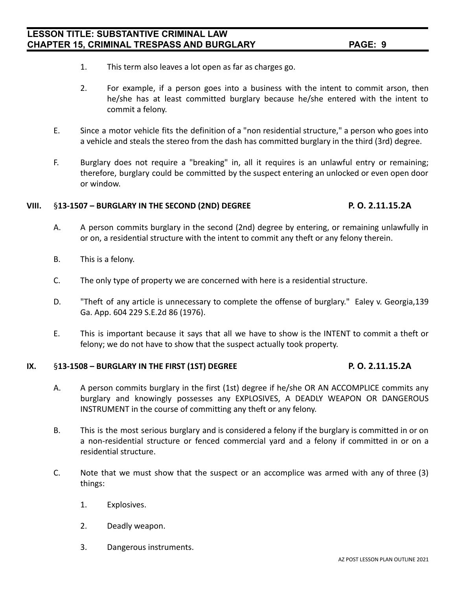- 1. This term also leaves a lot open as far as charges go.
- 2. For example, if a person goes into a business with the intent to commit arson, then he/she has at least committed burglary because he/she entered with the intent to commit a felony.
- E. Since a motor vehicle fits the definition of a "non residential structure," a person who goes into a vehicle and steals the stereo from the dash has committed burglary in the third (3rd) degree.
- F. Burglary does not require a "breaking" in, all it requires is an unlawful entry or remaining; therefore, burglary could be committed by the suspect entering an unlocked or even open door or window.

### **VIII.** §**13-1507 – BURGLARY IN THE SECOND (2ND) DEGREE P. O. 2.11.15.2A**

- A. A person commits burglary in the second (2nd) degree by entering, or remaining unlawfully in or on, a residential structure with the intent to commit any theft or any felony therein.
- B. This is a felony.
- C. The only type of property we are concerned with here is a residential structure.
- D. "Theft of any article is unnecessary to complete the offense of burglary." Ealey v. Georgia, 139 Ga. App. 604 229 S.E.2d 86 (1976).
- E. This is important because it says that all we have to show is the INTENT to commit a theft or felony; we do not have to show that the suspect actually took property.

### **IX.** §**13-1508 – BURGLARY IN THE FIRST (1ST) DEGREE P. O. 2.11.15.2A**

- A. A person commits burglary in the first (1st) degree if he/she OR AN ACCOMPLICE commits any burglary and knowingly possesses any EXPLOSIVES, A DEADLY WEAPON OR DANGEROUS INSTRUMENT in the course of committing any theft or any felony.
- B. This is the most serious burglary and is considered a felony if the burglary is committed in or on a non-residential structure or fenced commercial yard and a felony if committed in or on a residential structure.
- C. Note that we must show that the suspect or an accomplice was armed with any of three (3) things:
	- 1. Explosives.
	- 2. Deadly weapon.
	- 3. Dangerous instruments.